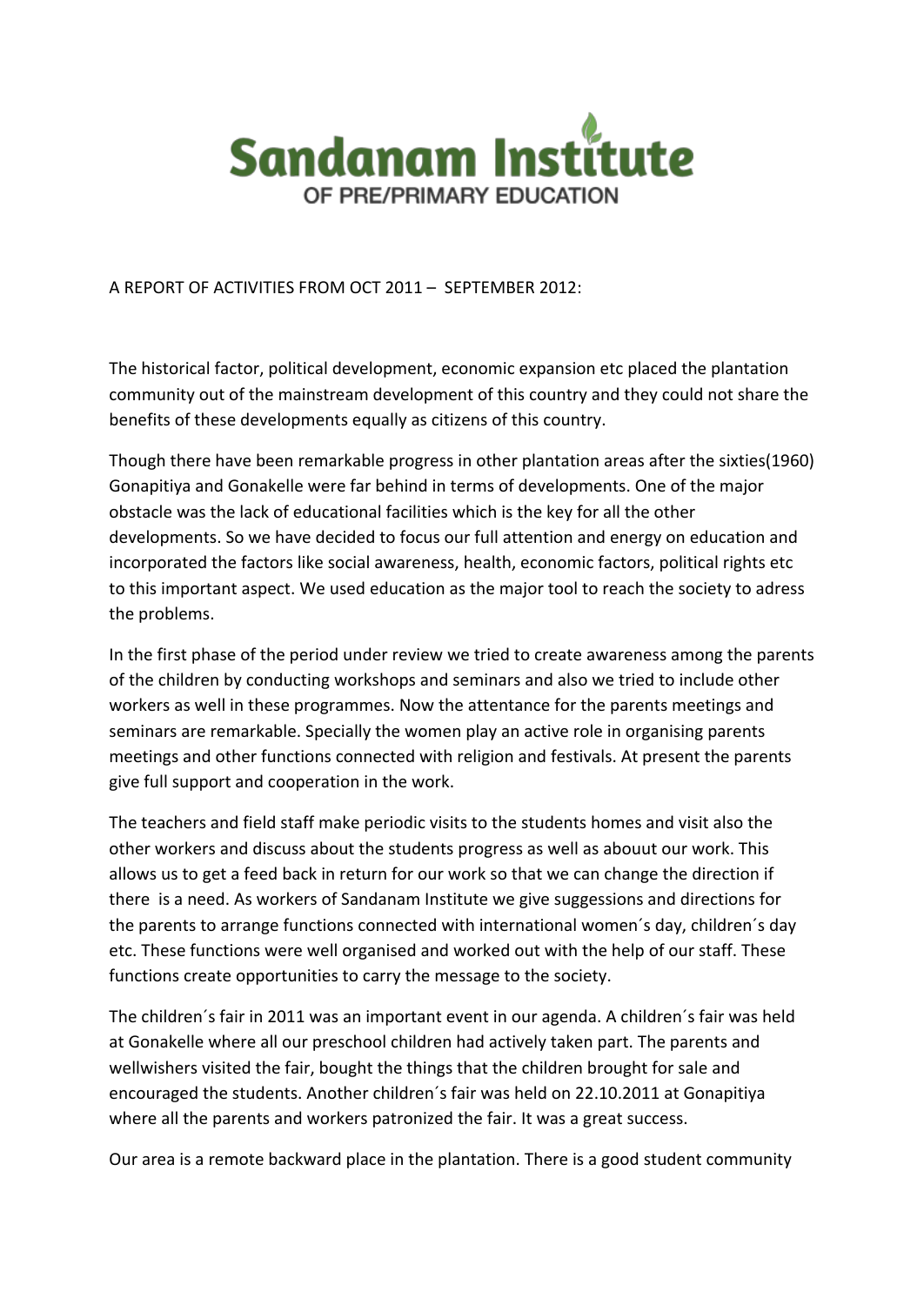

A REPORT OF ACTIVITIES FROM OCT 2011 – SEPTEMBER 2012:

The historical factor, political development, economic expansion etc placed the plantation community out of the mainstream development of this country and they could not share the benefits of these developments equally as citizens of this country.

Though there have been remarkable progress in other plantation areas after the sixties(1960) Gonapitiya and Gonakelle were far behind in terms of developments. One of the major obstacle was the lack of educational facilities which is the key for all the other developments. So we have decided to focus our full attention and energy on education and incorporated the factors like social awareness, health, economic factors, political rights etc to this important aspect. We used education as the major tool to reach the society to adress the problems.

In the first phase of the period under review we tried to create awareness among the parents of the children by conducting workshops and seminars and also we tried to include other workers as well in these programmes. Now the attentance for the parents meetings and seminars are remarkable. Specially the women play an active role in organising parents meetings and other functions connected with religion and festivals. At present the parents give full support and cooperation in the work.

The teachers and field staff make periodic visits to the students homes and visit also the other workers and discuss about the students progress as well as abouut our work. This allows us to get a feed back in return for our work so that we can change the direction if there is a need. As workers of Sandanam Institute we give suggessions and directions for the parents to arrange functions connected with international women´s day, children´s day etc. These functions were well organised and worked out with the help of our staff. These functions create opportunities to carry the message to the society.

The children´s fair in 2011 was an important event in our agenda. A children´s fair was held at Gonakelle where all our preschool children had actively taken part. The parents and wellwishers visited the fair, bought the things that the children brought for sale and encouraged the students. Another children´s fair was held on 22.10.2011 at Gonapitiya where all the parents and workers patronized the fair. It was a great success.

Our area is a remote backward place in the plantation. There is a good student community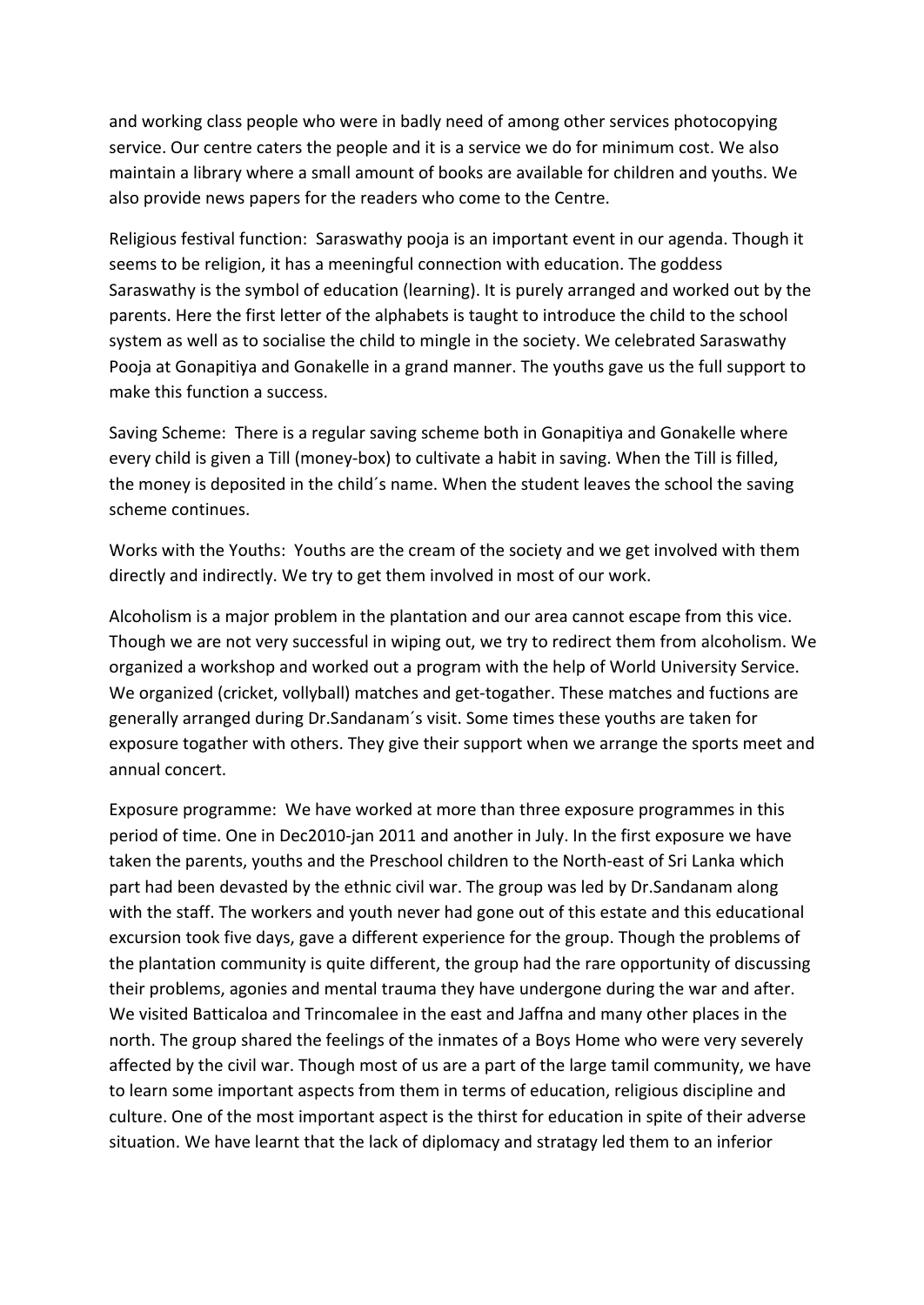and working class people who were in badly need of among other services photocopying service. Our centre caters the people and it is a service we do for minimum cost. We also maintain a library where a small amount of books are available for children and youths. We also provide news papers for the readers who come to the Centre.

Religious festival function: Saraswathy pooja is an important event in our agenda. Though it seems to be religion, it has a meeningful connection with education. The goddess Saraswathy is the symbol of education (learning). It is purely arranged and worked out by the parents. Here the first letter of the alphabets is taught to introduce the child to the school system as well as to socialise the child to mingle in the society. We celebrated Saraswathy Pooja at Gonapitiya and Gonakelle in a grand manner. The youths gave us the full support to make this function a success.

Saving Scheme: There is a regular saving scheme both in Gonapitiya and Gonakelle where every child is given a Till (money-box) to cultivate a habit in saving. When the Till is filled, the money is deposited in the child´s name. When the student leaves the school the saving scheme continues.

Works with the Youths: Youths are the cream of the society and we get involved with them directly and indirectly. We try to get them involved in most of our work.

Alcoholism is a major problem in the plantation and our area cannot escape from this vice. Though we are not very successful in wiping out, we try to redirect them from alcoholism. We organized a workshop and worked out a program with the help of World University Service. We organized (cricket, vollyball) matches and get-togather. These matches and fuctions are generally arranged during Dr.Sandanam´s visit. Some times these youths are taken for exposure togather with others. They give their support when we arrange the sports meet and annual concert.

Exposure programme: We have worked at more than three exposure programmes in this period of time. One in Dec2010-jan 2011 and another in July. In the first exposure we have taken the parents, youths and the Preschool children to the North-east of Sri Lanka which part had been devasted by the ethnic civil war. The group was led by Dr.Sandanam along with the staff. The workers and youth never had gone out of this estate and this educational excursion took five days, gave a different experience for the group. Though the problems of the plantation community is quite different, the group had the rare opportunity of discussing their problems, agonies and mental trauma they have undergone during the war and after. We visited Batticaloa and Trincomalee in the east and Jaffna and many other places in the north. The group shared the feelings of the inmates of a Boys Home who were very severely affected by the civil war. Though most of us are a part of the large tamil community, we have to learn some important aspects from them in terms of education, religious discipline and culture. One of the most important aspect is the thirst for education in spite of their adverse situation. We have learnt that the lack of diplomacy and stratagy led them to an inferior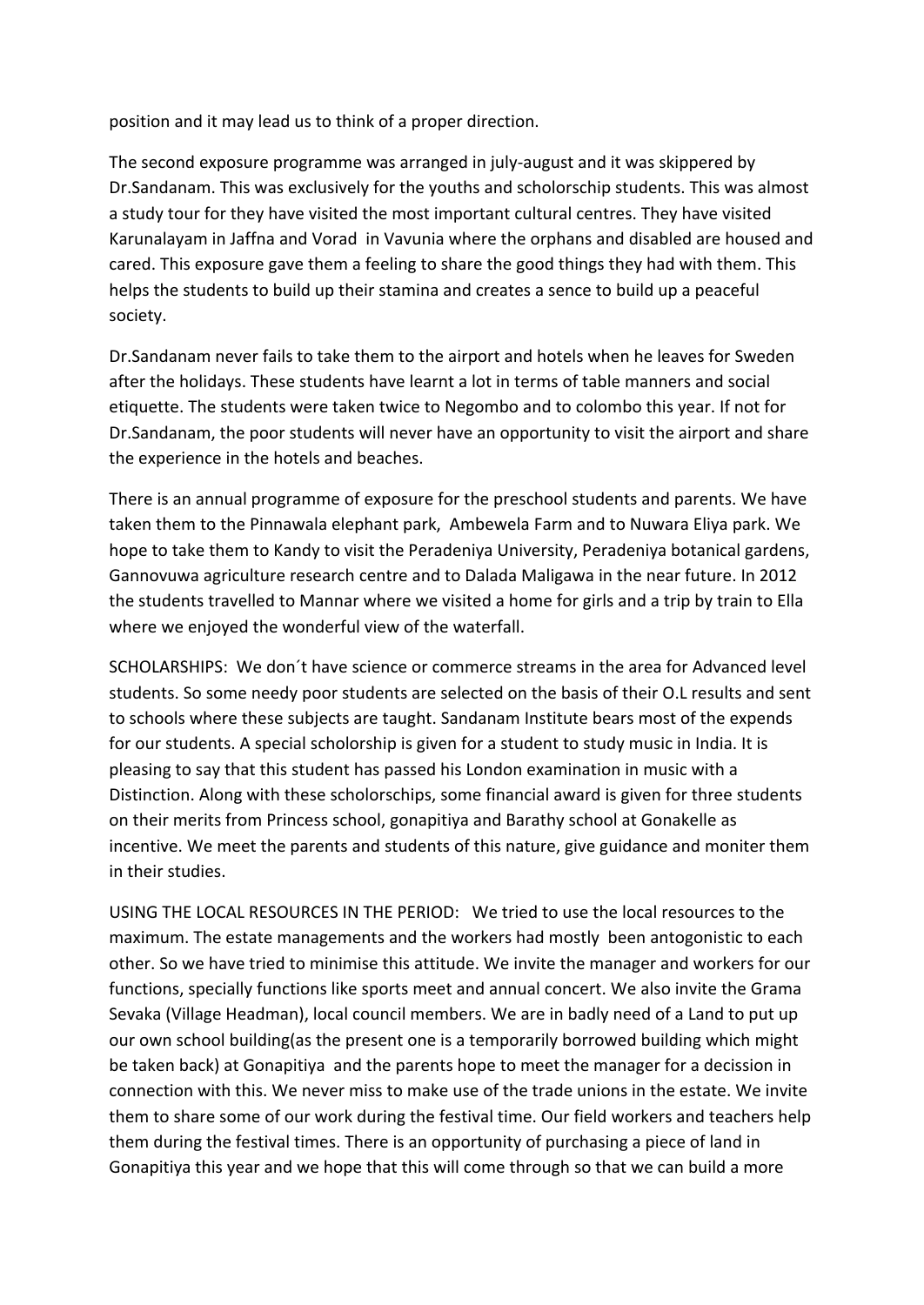position and it may lead us to think of a proper direction.

The second exposure programme was arranged in july-august and it was skippered by Dr.Sandanam. This was exclusively for the youths and scholorschip students. This was almost a study tour for they have visited the most important cultural centres. They have visited Karunalayam in Jaffna and Vorad in Vavunia where the orphans and disabled are housed and cared. This exposure gave them a feeling to share the good things they had with them. This helps the students to build up their stamina and creates a sence to build up a peaceful society.

Dr.Sandanam never fails to take them to the airport and hotels when he leaves for Sweden after the holidays. These students have learnt a lot in terms of table manners and social etiquette. The students were taken twice to Negombo and to colombo this year. If not for Dr.Sandanam, the poor students will never have an opportunity to visit the airport and share the experience in the hotels and beaches.

There is an annual programme of exposure for the preschool students and parents. We have taken them to the Pinnawala elephant park, Ambewela Farm and to Nuwara Eliya park. We hope to take them to Kandy to visit the Peradeniya University, Peradeniya botanical gardens, Gannovuwa agriculture research centre and to Dalada Maligawa in the near future. In 2012 the students travelled to Mannar where we visited a home for girls and a trip by train to Ella where we enjoyed the wonderful view of the waterfall.

SCHOLARSHIPS: We don´t have science or commerce streams in the area for Advanced level students. So some needy poor students are selected on the basis of their O.L results and sent to schools where these subjects are taught. Sandanam Institute bears most of the expends for our students. A special scholorship is given for a student to study music in India. It is pleasing to say that this student has passed his London examination in music with a Distinction. Along with these scholorschips, some financial award is given for three students on their merits from Princess school, gonapitiya and Barathy school at Gonakelle as incentive. We meet the parents and students of this nature, give guidance and moniter them in their studies.

USING THE LOCAL RESOURCES IN THE PERIOD: We tried to use the local resources to the maximum. The estate managements and the workers had mostly been antogonistic to each other. So we have tried to minimise this attitude. We invite the manager and workers for our functions, specially functions like sports meet and annual concert. We also invite the Grama Sevaka (Village Headman), local council members. We are in badly need of a Land to put up our own school building(as the present one is a temporarily borrowed building which might be taken back) at Gonapitiya and the parents hope to meet the manager for a decission in connection with this. We never miss to make use of the trade unions in the estate. We invite them to share some of our work during the festival time. Our field workers and teachers help them during the festival times. There is an opportunity of purchasing a piece of land in Gonapitiya this year and we hope that this will come through so that we can build a more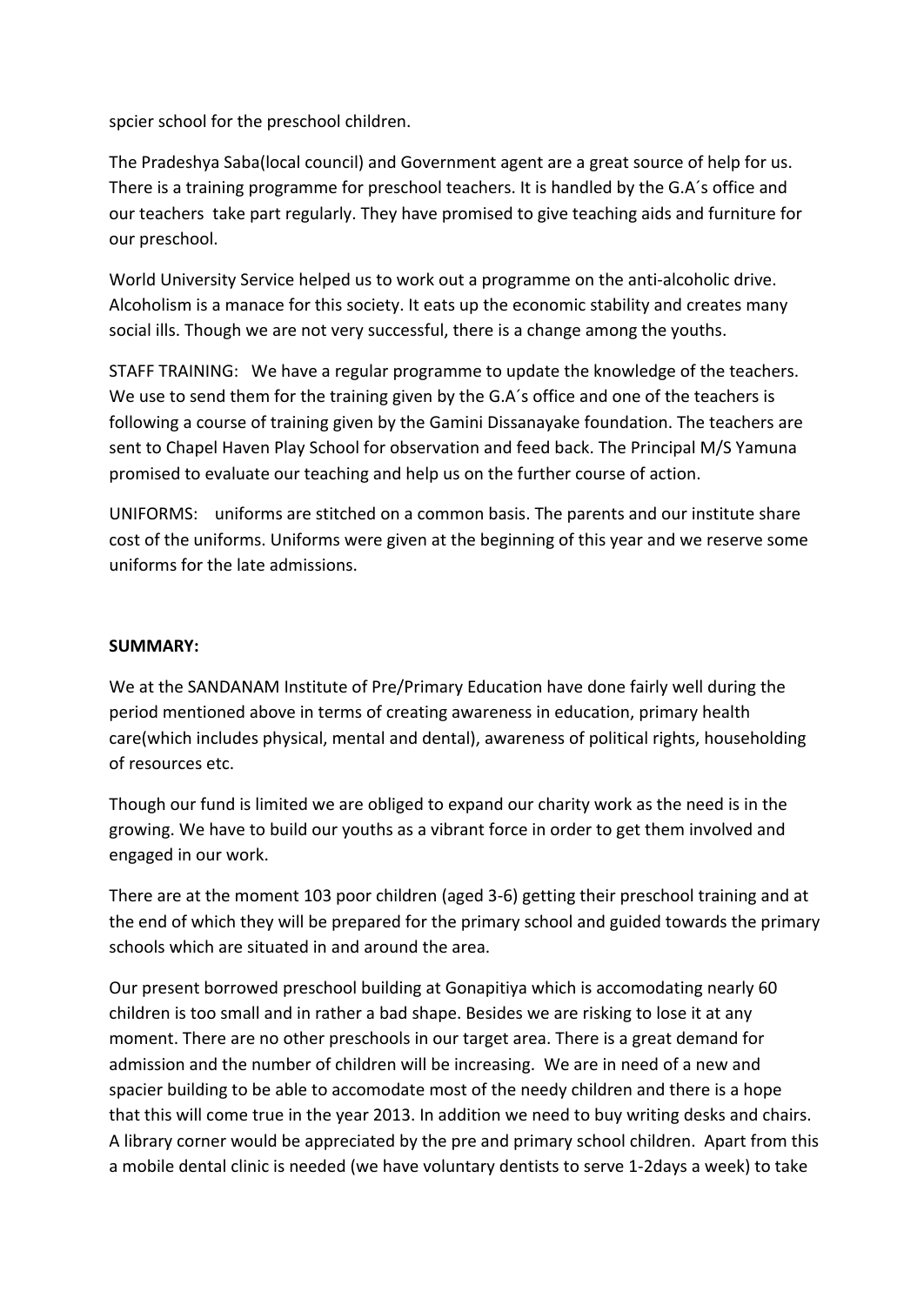spcier school for the preschool children.

The Pradeshya Saba(local council) and Government agent are a great source of help for us. There is a training programme for preschool teachers. It is handled by the G.A´s office and our teachers take part regularly. They have promised to give teaching aids and furniture for our preschool.

World University Service helped us to work out a programme on the anti-alcoholic drive. Alcoholism is a manace for this society. It eats up the economic stability and creates many social ills. Though we are not very successful, there is a change among the youths.

STAFF TRAINING: We have a regular programme to update the knowledge of the teachers. We use to send them for the training given by the G.A's office and one of the teachers is following a course of training given by the Gamini Dissanayake foundation. The teachers are sent to Chapel Haven Play School for observation and feed back. The Principal M/S Yamuna promised to evaluate our teaching and help us on the further course of action.

UNIFORMS: uniforms are stitched on a common basis. The parents and our institute share cost of the uniforms. Uniforms were given at the beginning of this year and we reserve some uniforms for the late admissions.

## **SUMMARY:**

We at the SANDANAM Institute of Pre/Primary Education have done fairly well during the period mentioned above in terms of creating awareness in education, primary health care(which includes physical, mental and dental), awareness of political rights, householding of resources etc.

Though our fund is limited we are obliged to expand our charity work as the need is in the growing. We have to build our youths as a vibrant force in order to get them involved and engaged in our work.

There are at the moment 103 poor children (aged 3-6) getting their preschool training and at the end of which they will be prepared for the primary school and guided towards the primary schools which are situated in and around the area.

Our present borrowed preschool building at Gonapitiya which is accomodating nearly 60 children is too small and in rather a bad shape. Besides we are risking to lose it at any moment. There are no other preschools in our target area. There is a great demand for admission and the number of children will be increasing. We are in need of a new and spacier building to be able to accomodate most of the needy children and there is a hope that this will come true in the year 2013. In addition we need to buy writing desks and chairs. A library corner would be appreciated by the pre and primary school children. Apart from this a mobile dental clinic is needed (we have voluntary dentists to serve 1-2days a week) to take